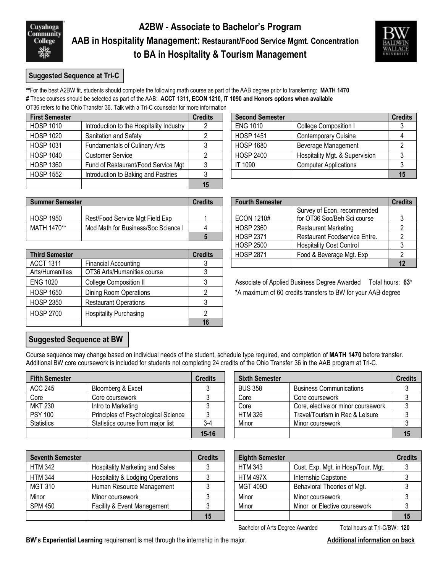

## **A2BW - Associate to Bachelor's Program AAB in Hospitality Management: Restaurant/Food Service Mgmt. Concentration to BA in Hospitality & Tourism Management**



#### **Suggested Sequence at Tri-C**

**\*\***For the best A2BW fit, students should complete the following math course as part of the AAB degree prior to transferring: **MATH 1470 #** These courses should be selected as part of the AAB: **ACCT 1311, ECON 1210, IT 1090 and Honors options when available** OT36 refers to the Ohio Transfer 36. Talk with a Tri-C counselor for more information

| <b>First Semester</b> |                                          | <b>Credits</b> | <b>Second Semester</b> |                                | <b>Credits</b> |
|-----------------------|------------------------------------------|----------------|------------------------|--------------------------------|----------------|
| <b>HOSP 1010</b>      | Introduction to the Hospitality Industry |                | <b>ENG 1010</b>        | College Composition I          |                |
| <b>HOSP 1020</b>      | Sanitation and Safety                    |                | <b>HOSP 1451</b>       | <b>Contemporary Cuisine</b>    |                |
| <b>HOSP 1031</b>      | <b>Fundamentals of Culinary Arts</b>     |                | <b>HOSP 1680</b>       | Beverage Management            |                |
| <b>HOSP 1040</b>      | <b>Customer Service</b>                  |                | <b>HOSP 2400</b>       | Hospitality Mgt. & Supervision |                |
| <b>HOSP 1360</b>      | Fund of Restaurant/Food Service Mgt      |                | <b>IT 1090</b>         | <b>Computer Applications</b>   |                |
| <b>HOSP 1552</b>      | Introduction to Baking and Pastries      |                |                        |                                | 15             |
|                       |                                          | 15             |                        |                                |                |

| <b>Summer Semester</b> |                                     | Credits | <b>Fourth Semester</b> |                                     | <b>Credits</b> |  |
|------------------------|-------------------------------------|---------|------------------------|-------------------------------------|----------------|--|
|                        |                                     |         |                        | Survey of Econ. recommended         |                |  |
| <b>HOSP 1950</b>       | Rest/Food Service Mgt Field Exp     |         | ECON 1210#             | for OT36 Soc/Beh Sci course         |                |  |
| MATH 1470**            | Mod Math for Business/Soc Science I |         | <b>HOSP 2360</b>       | Restaurant Marketing                |                |  |
|                        |                                     |         | HOSP 2371              | <b>Restaurant Foodservice Entre</b> |                |  |

| <b>Third Semester</b> |                               | <b>Credits</b> | <b>HOSP 2871</b> | Food & Beverage Mgt. Exp                                     | $\mathcal{P}$ |
|-----------------------|-------------------------------|----------------|------------------|--------------------------------------------------------------|---------------|
| <b>ACCT 1311</b>      | Financial Accounting          |                |                  |                                                              | 12            |
| Arts/Humanities       | OT36 Arts/Humanities course   |                |                  |                                                              |               |
| <b>ENG 1020</b>       | <b>College Composition II</b> |                |                  | Associate of Applied Business Degree Awarded<br>Total hours: |               |
| <b>HOSP 1650</b>      | <b>Dining Room Operations</b> |                |                  | *A maximum of 60 credits transfers to BW for your AAB degree |               |
| <b>HOSP 2350</b>      | <b>Restaurant Operations</b>  |                |                  |                                                              |               |
| <b>HOSP 2700</b>      | <b>Hospitality Purchasing</b> |                |                  |                                                              |               |
|                       |                               | 16             |                  |                                                              |               |

| <b>Second Semester</b> |                                | <b>Credits</b> |
|------------------------|--------------------------------|----------------|
| <b>ENG 1010</b>        | College Composition I          |                |
| <b>HOSP 1451</b>       | <b>Contemporary Cuisine</b>    |                |
| <b>HOSP 1680</b>       | Beverage Management            |                |
| <b>HOSP 2400</b>       | Hospitality Mgt. & Supervision | 3              |
| <b>IT 1090</b>         | <b>Computer Applications</b>   |                |
|                        |                                |                |

| dits | <b>Fourth Semester</b> |                                                            | <b>Credits</b> |
|------|------------------------|------------------------------------------------------------|----------------|
|      | <b>ECON 1210#</b>      | Survey of Econ. recommended<br>for OT36 Soc/Beh Sci course |                |
| 4    | <b>HOSP 2360</b>       | <b>Restaurant Marketing</b>                                |                |
| 5    | <b>HOSP 2371</b>       | Restaurant Foodservice Entre.                              |                |
|      | <b>HOSP 2500</b>       | <b>Hospitality Cost Control</b>                            |                |
| dits | <b>HOSP 2871</b>       | Food & Beverage Mgt. Exp                                   |                |
| 3    |                        |                                                            |                |

### **Suggested Sequence at BW**

Course sequence may change based on individual needs of the student, schedule type required, and completion of **MATH 1470** before transfer. Additional BW core coursework is included for students not completing 24 credits of the Ohio Transfer 36 in the AAB program at Tri-C.

| <b>Fifth Semester</b> |                                     | <b>Credits</b> | <b>Sixth Semester</b> |                                    | <b>Credits</b> |
|-----------------------|-------------------------------------|----------------|-----------------------|------------------------------------|----------------|
| <b>ACC 245</b>        | Bloomberg & Excel                   |                | <b>BUS 358</b>        | <b>Business Communications</b>     |                |
| Core                  | Core coursework                     |                | Core                  | Core coursework                    |                |
| <b>MKT 230</b>        | Intro to Marketing                  |                | Core                  | Core, elective or minor coursework |                |
| <b>PSY 100</b>        | Principles of Psychological Science |                | <b>HTM 326</b>        | Travel/Tourism in Rec & Leisure    |                |
| <b>Statistics</b>     | Statistics course from major list   | $3-4$          | Minor                 | Minor coursework                   |                |
|                       |                                     | $15 - 16$      |                       |                                    |                |

| .     |                |                                    |    |
|-------|----------------|------------------------------------|----|
|       | <b>BUS 358</b> | <b>Business Communications</b>     |    |
|       | Core           | Core coursework                    |    |
|       | Core           | Core, elective or minor coursework |    |
|       | <b>HTM 326</b> | Travel/Tourism in Rec & Leisure    |    |
| $3-4$ | Minor          | Minor coursework                   |    |
| 15-16 |                |                                    | 15 |
|       |                |                                    |    |

| <b>Seventh Semester</b> |                                             | <b>Credits</b> | <b>Eighth Semester</b> |                                    | <b>Credits</b> |
|-------------------------|---------------------------------------------|----------------|------------------------|------------------------------------|----------------|
| <b>HTM 342</b>          | <b>Hospitality Marketing and Sales</b>      |                | <b>HTM 343</b>         | Cust. Exp. Mgt. in Hosp/Tour. Mgt. |                |
| <b>HTM 344</b>          | <b>Hospitality &amp; Lodging Operations</b> |                | <b>HTM 497X</b>        | Internship Capstone                |                |
| <b>MGT 310</b>          | Human Resource Management                   |                | <b>MGT 409D</b>        | Behavioral Theories of Mgt.        |                |
| Minor                   | Minor coursework                            |                | Minor                  | Minor coursework                   |                |
| <b>SPM 450</b>          | Facility & Event Management                 |                | Minor                  | Minor or Elective coursework       |                |
|                         |                                             | 15             |                        |                                    | 15             |

| edits | <b>Eighth Semester</b> |                                    | <b>Credits</b> |
|-------|------------------------|------------------------------------|----------------|
| 3     | <b>HTM 343</b>         | Cust. Exp. Mgt. in Hosp/Tour. Mgt. |                |
| 3     | <b>HTM 497X</b>        | Internship Capstone                |                |
| 3     | <b>MGT 409D</b>        | Behavioral Theories of Mgt.        |                |
| 3     | Minor                  | Minor coursework                   |                |
| 3     | Minor                  | Minor or Elective coursework       |                |
| 15    |                        |                                    |                |

Bachelor of Arts Degree Awarded Total hours at Tri-C/BW: 120

**BW's Experiential Learning** requirement is met through the internship in the major. **Additional information on back**